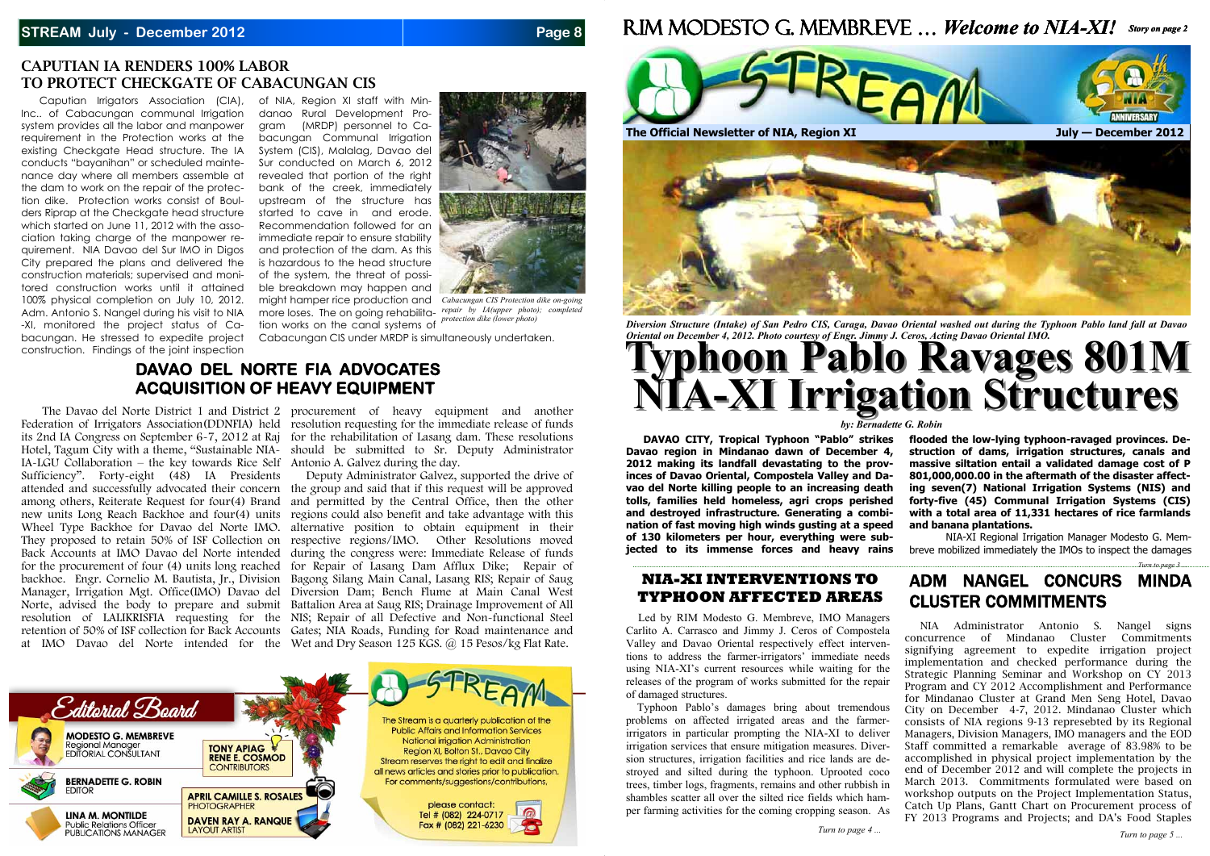#### **STREAM July - December 2012 Page 8**

#### **CAPUTIAN IA RENDERS 100% LABOR TO PROTECT CHECKGATE OF CABACUNGAN CIS**

Caputian Irrigators Association (CIA), Inc.. of Cabacungan communal Irrigation system provides all the labor and manpower requirement in the Protection works at the existing Checkgate Head structure. The IA conducts "bayanihan" or scheduled maintenance day where all members assemble at the dam to work on the repair of the protection dike. Protection works consist of Boulders Riprap at the Checkgate head structure which started on June 11, 2012 with the association taking charge of the manpower requirement. NIA Davao del Sur IMO in Digos City prepared the plans and delivered the construction materials; supervised and monitored construction works until it attained 100% physical completion on July 10, 2012. Adm. Antonio S. Nangel during his visit to NIA -XI, monitored the project status of Cabacungan. He stressed to expedite project construction. Findings of the joint inspection

Cabacungan CIS under MRDP is simultaneously undertaken.

 The Davao del Norte District 1 and District 2 procurement of heavy equipment and another Federation of Irrigators Association(DDNFIA) held resolution requesting for the immediate release of funds its 2nd IA Congress on September 6-7, 2012 at Raj for the rehabilitation of Lasang dam. These resolutions Hotel, Tagum City with a theme, "Sustainable NIA-should be submitted to Sr. Deputy Administrator

of NIA, Region XI staff with Mindanao Rural Development Program (MRDP) personnel to Cabacungan Communal Irrigation System (CIS), Malalag, Davao del Sur conducted on March 6, 2012 revealed that portion of the right bank of the creek, immediately upstream of the structure has started to cave in and erode. Recommendation followed for an immediate repair to ensure stability and protection of the dam. As this is hazardous to the head structure of the system, the threat of possible breakdown may happen and might hamper rice production and *Cabacungan CIS Protection dike on-going*  more loses. The on going rehabilita-*repair by IA(upper photo); completed* 

attended and successfully advocated their concern the group and said that if this request will be approved among others, Reiterate Request for four(4) Brand and permitted by the Central Office, then the other new units Long Reach Backhoe and four(4) units regions could also benefit and take advantage with this Wheel Type Backhoe for Davao del Norte IMO. alternative position to obtain equipment in their They proposed to retain 50% of ISF Collection on respective regions/IMO. Other Resolutions moved Back Accounts at IMO Davao del Norte intended during the congress were: Immediate Release of funds for the procurement of four (4) units long reached for Repair of Lasang Dam Afflux Dike; Repair of backhoe. Engr. Cornelio M. Bautista, Jr., Division Bagong Silang Main Canal, Lasang RIS; Repair of Saug Manager, Irrigation Mgt. Office(IMO) Davao del Diversion Dam; Bench Flume at Main Canal West Norte, advised the body to prepare and submit Battalion Area at Saug RIS; Drainage Improvement of All resolution of LALIKRISFIA requesting for the NIS; Repair of all Defective and Non-functional Steel retention of 50% of ISF collection for Back Accounts Gates; NIA Roads, Funding for Road maintenance and Deputy Administrator Galvez, supported the drive of





tion works on the canal systems of *protection dike (lower photo)* 

IA-LGU Collaboration – the key towards Rice Self Antonio A. Galvez during the day. Sufficiency". Forty-eight (48) IA Presidents at IMO Davao del Norte intended for the Wet and Dry Season 125 KGS. @ 15 Pesos/kg Flat Rate.

## **DAVAO DEL NORTE FIA ADVOCATES ACQUISITION OF HEAVY EQUIPMENT**





*Diversion Structure (Intake) of San Pedro CIS, Caraga, Davao Oriental washed out during the Typhoon Pablo land fall at Davao Oriental on December 4, 2012. Photo courtesy of Engr. Jimmy J. Ceros, Acting Davao Oriental IMO.* 

*by: Bernadette G. Robin* 

# ADM NANGEL CONCURS MINDA CLUSTER COMMITMENTS

 NIA Administrator Antonio S. Nangel signs concurrence of Mindanao Cluster Commitments signifying agreement to expedite irrigation project implementation and checked performance during the Strategic Planning Seminar and Workshop on CY 2013 Program and CY 2012 Accomplishment and Performance for Mindanao Cluster at Grand Men Seng Hotel, Davao City on December 4-7, 2012. Mindanao Cluster which consists of NIA regions 9-13 represebted by its Regional Managers, Division Managers, IMO managers and the EOD Staff committed a remarkable average of 83.98% to be accomplished in physical project implementation by the end of December 2012 and will complete the projects in March 2013. Commitments formulated were based on workshop outputs on the Project Implementation Status, Catch Up Plans, Gantt Chart on Procurement process of FY 2013 Programs and Projects; and DA's Food Staples

**DAVAO CITY, Tropical Typhoon "Pablo" strikes Davao region in Mindanao dawn of December 4, 2012 making its landfall devastating to the provinces of Davao Oriental, Compostela Valley and Davao del Norte killing people to an increasing death tolls, families held homeless, agri crops perished and destroyed infrastructure. Generating a combination of fast moving high winds gusting at a speed of 130 kilometers per hour, everything were subjected to its immense forces and heavy rains flooded the low-lying typhoon-ravaged provinces. Destruction of dams, irrigation structures, canals and massive siltation entail a validated damage cost of P 801,000,000.00 in the aftermath of the disaster affecting seven(7) National Irrigation Systems (NIS) and forty-five (45) Communal Irrigation Systems (CIS) with a total area of 11,331 hectares of rice farmlands and banana plantations.** NIA-XI Regional Irrigation Manager Modesto G. Membreve mobilized immediately the IMOs to inspect the damages

#### **NIA-XI INTERVENTIONS TO TYPHOON AFFECTED AREAS**

Led by RIM Modesto G. Membreve, IMO Managers Carlito A. Carrasco and Jimmy J. Ceros of Compostela Valley and Davao Oriental respectively effect interventions to address the farmer-irrigators' immediate needs using NIA-XI's current resources while waiting for the releases of the program of works submitted for the repair of damaged structures.

 Typhoon Pablo's damages bring about tremendous problems on affected irrigated areas and the farmerirrigators in particular prompting the NIA-XI to deliver irrigation services that ensure mitigation measures. Diversion structures, irrigation facilities and rice lands are destroyed and silted during the typhoon. Uprooted coco trees, timber logs, fragments, remains and other rubbish in shambles scatter all over the silted rice fields which hamper farming activities for the coming cropping season. As

*Turn to page 3 ...*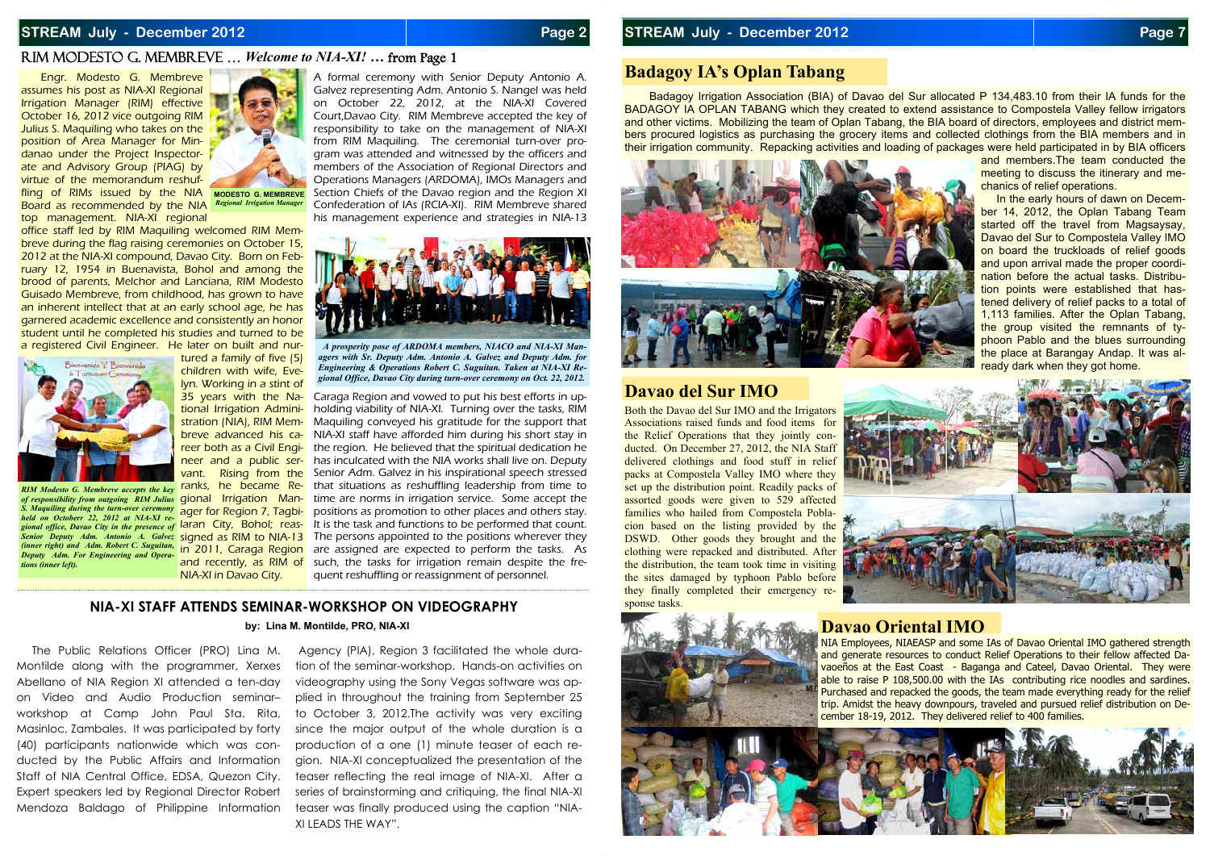#### **STREAM July - December 2012 Page 2 Page 2**

#### RIM MODESTO G. MEMBREVE … *Welcome to NIA-XI! …* from Page 1

#### **by: Lina M. Montilde, PRO, NIA-XI**

 Engr. Modesto G. Membreve assumes his post as NIA-XI Regional Irrigation Manager (RIM) effective October 16, 2012 vice outgoing RIM Julius S. Maquiling who takes on the position of Area Manager for Mindanao under the Project Inspectorate and Advisory Group (PIAG) by virtue of the memorandum reshuffling of RIMs issued by the NIA Modesto.g. MEMBREVE

 The Public Relations Officer (PRO) Lina M. Montilde along with the programmer, Xerxes Abellano of NIA Region XI attended a ten-day on Video and Audio Production seminar– workshop at Camp John Paul Sta. Rita, Masinloc, Zambales. It was participated by forty (40) participants nationwide which was conducted by the Public Affairs and Information Staff of NIA Central Office, EDSA, Quezon City. Expert speakers led by Regional Director Robert Mendoza Baldago of Philippine Information

top management. NIA-XI regional

office staff led by RIM Maquiling welcomed RIM Membreve during the flag raising ceremonies on October 15, 2012 at the NIA-XI compound, Davao City. Born on February 12, 1954 in Buenavista, Bohol and among the brood of parents, Melchor and Lanciana, RIM Modesto Guisado Membreve, from childhood, has grown to have an inherent intellect that at an early school age, he has garnered academic excellence and consistently an honor student until he completed his studies and turned to be a registered Civil Engineer. He later on built and nur-

<mark>breve advanced his ca-</mark> NIA-XI staff have afforded him during his short stay in <mark>reer both as a Civil Engi-</mark> the region. He believed that the spiritual dedication he <mark>neer and a public ser-</mark> has inculcated with the NIA works shall live on. Deputy RIM Modesto G. Membreve accepts the key ranks, he became Re- that situations as reshuffling leadership from time to of responsibility from outgoing RIM Julius gional Irrigation Man-time are norms in irrigation service. Some accept the S. Maquiling during the turn-over ceremony ager for Region 7, Tagbi- positions as promotion to other places and others stay.<br>held an Ostabary 22, 2012 at NLA XL as gional office, Davao City in the presence of laran City, Bohol; reas- It is the task and functions to be performed that count. Senior Deputy Adm. Antonio A. Galvez signed as RIM to NIA-13 The persons appointed to the positions wherever they in 2011, Caraga Region are assigned are expected to perform the tasks. As <mark>and recently, as RIM of</mark> such, the tasks for irrigation remain despite the fre-Caraga Region and vowed to put his best efforts in upholding viability of NIA-XI. Turning over the tasks, RIM Maquiling conveyed his gratitude for the support that Senior Adm. Galvez in his inspirational speech stressed quent reshuffling or reassignment of personnel.

tured a family of five (5) children with wife, Evelyn. Working in a stint of 35 years with the National Irrigation Administration (NIA), RIM Memvant. Rising from the NIA-XI in Davao City.



Board as recommended by the NIA *Regional Irrigation Manager*

A formal ceremony with Senior Deputy Antonio A. Galvez representing Adm. Antonio S. Nangel was held on October 22, 2012, at the NIA-XI Covered Court,Davao City. RIM Membreve accepted the key of responsibility to take on the management of NIA-XI from RIM Maquiling. The ceremonial turn-over program was attended and witnessed by the officers and members of the Association of Regional Directors and Operations Managers (ARDOMA), IMOs Managers and Section Chiefs of the Davao region and the Region XI Confederation of IAs (RCIA-XI). RIM Membreve shared his management experience and strategies in NIA-13

Badagoy Irrigation Association (BIA) of Davao del Sur allocated P 134,483.10 from their IA funds for the BADAGOY IA OPLAN TABANG which they created to extend assistance to Compostela Valley fellow irrigators and other victims. Mobilizing the team of Oplan Tabang, the BIA board of directors, employees and district members procured logistics as purchasing the grocery items and collected clothings from the BIA members and in their irrigation community. Repacking activities and loading of packages were held participated in by BIA officers





*held on Octoberr 22, 2012 at NIA-XI re-(inner right) and Adm. Robert C. Suguitan, Deputy Adm. For Engineering and Operations (inner left).* 



*A prosperity pose of ARDOMA members, NIACO and NIA-XI Managers with Sr. Deputy Adm. Antonio A. Galvez and Deputy Adm. for Engineering & Operations Robert C. Suguitan. Taken at NIA-XI Regional Office, Davao City during turn-over ceremony on Oct. 22, 2012.* 

#### **NIA-XI STAFF ATTENDS SEMINAR-WORKSHOP ON VIDEOGRAPHY**

 Agency (PIA), Region 3 facilitated the whole duration of the seminar-workshop. Hands-on activities on videography using the Sony Vegas software was applied in throughout the training from September 25 to October 3, 2012.The activity was very exciting since the major output of the whole duration is a production of a one (1) minute teaser of each region. NIA-XI conceptualized the presentation of the teaser reflecting the real image of NIA-XI. After a series of brainstorming and critiquing, the final NIA-XI teaser was finally produced using the caption "NIA-XI LEADS THE WAY".

Both the Davao del Sur IMO and the Irrigators Associations raised funds and food items for the Relief Operations that they jointly conducted. On December 27, 2012, the NIA Staff delivered clothings and food stuff in relief packs at Compostela Valley IMO where they set up the distribution point. Readily packs of assorted goods were given to 529 affected families who hailed from Compostela Poblacion based on the listing provided by the DSWD. Other goods they brought and the clothing were repacked and distributed. After the distribution, the team took time in visiting the sites damaged by typhoon Pablo before they finally completed their emergency response tasks.







and members.The team conducted the meeting to discuss the itinerary and mechanics of relief operations.

 In the early hours of dawn on December 14, 2012, the Oplan Tabang Team started off the travel from Magsaysay, Davao del Sur to Compostela Valley IMO on board the truckloads of relief goods and upon arrival made the proper coordination before the actual tasks. Distribution points were established that hastened delivery of relief packs to a total of 1,113 families. After the Oplan Tabang, the group visited the remnants of typhoon Pablo and the blues surrounding the place at Barangay Andap. It was already dark when they got home.



### **Badagoy IA's Oplan Tabang**

#### **Davao Oriental IMO**



# **Davao del Sur IMO**

NIA Employees, NIAEASP and some IAs of Davao Oriental IMO gathered strength and generate resources to conduct Relief Operations to their fellow affected Davaoeños at the East Coast - Baganga and Cateel, Davao Oriental. They were able to raise P 108,500.00 with the IAs contributing rice noodles and sardines. Purchased and repacked the goods, the team made everything ready for the relief trip. Amidst the heavy downpours, traveled and pursued relief distribution on December 18-19, 2012. They delivered relief to 400 families.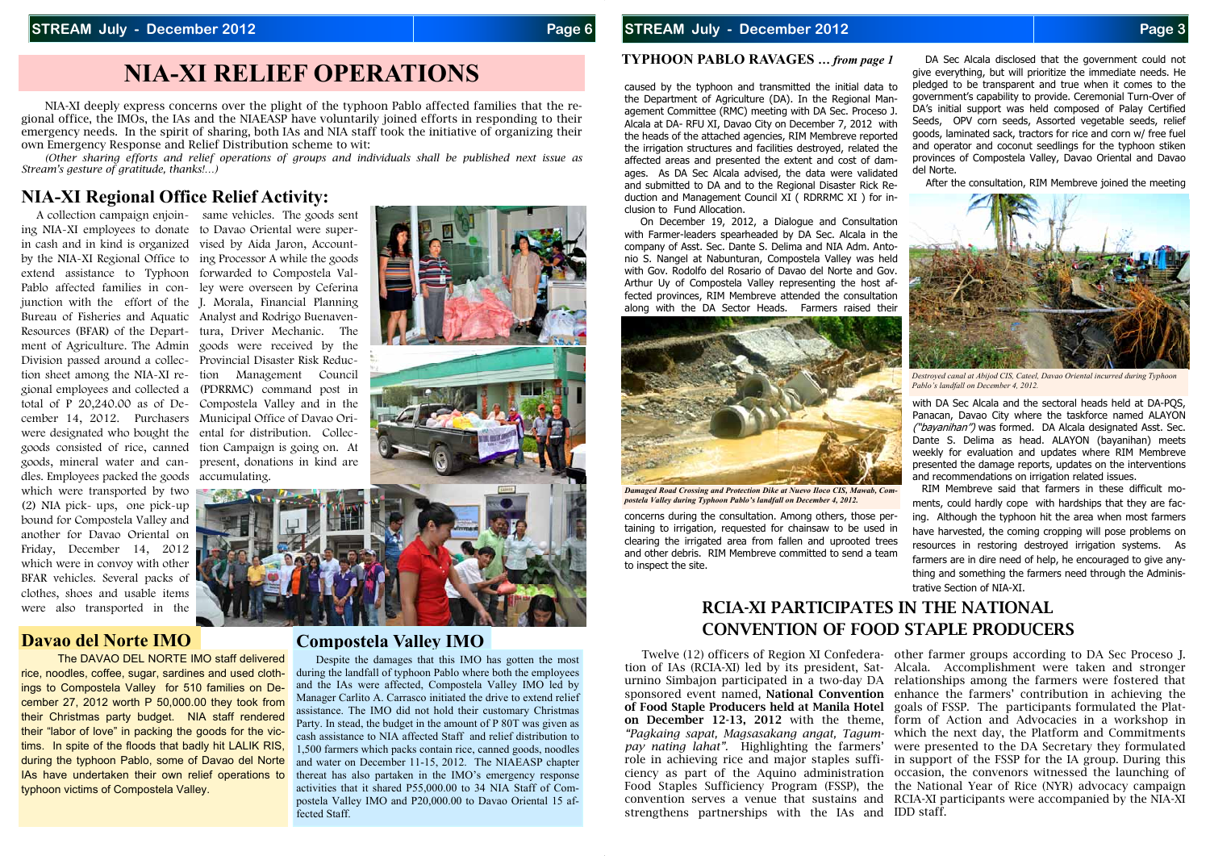ing NIA-XI employees to donate to Davao Oriental were superin cash and in kind is organized vised by Aida Jaron, Accountby the NIA-XI Regional Office to ing Processor A while the goods extend assistance to Typhoon forwarded to Compostela Val-Pablo affected families in con-ley were overseen by Ceferina junction with the effort of the J. Morala, Financial Planning Bureau of Fisheries and Aquatic Analyst and Rodrigo Buenaven-Resources (BFAR) of the Depart-tura, Driver Mechanic. The ment of Agriculture. The Admin goods were received by the Division passed around a collec-Provincial Disaster Risk Reduction sheet among the NIA-XI re-tion Management Council gional employees and collected a (PDRRMC) command post in total of P 20,240.00 as of De-Compostela Valley and in the cember 14, 2012. Purchasers Municipal Office of Davao Oriwere designated who bought the ental for distribution. Collecgoods consisted of rice, canned tion Campaign is going on. At goods, mineral water and can-present, donations in kind are dles. Employees packed the goods accumulating. which were transported by two (2) NIA pick- ups, one pick-up bound for Compostela Valley and another for Davao Oriental on Friday, December 14, 2012 which were in convoy with other BFAR vehicles. Several packs of clothes, shoes and usable items were also transported in the

# **NIA-XI RELIEF OPERATIONS**

# **NIA-XI Regional Office Relief Activity:**

 NIA-XI deeply express concerns over the plight of the typhoon Pablo affected families that the regional office, the IMOs, the IAs and the NIAEASP have voluntarily joined efforts in responding to their emergency needs. In the spirit of sharing, both IAs and NIA staff took the initiative of organizing their own Emergency Response and Relief Distribution scheme to wit:

*(Other sharing efforts and relief operations of groups and individuals shall be published next issue as Stream's gesture of gratitude, thanks!…)* 

### **Davao del Norte IMO**

The DAVAO DEL NORTE IMO staff delivered rice, noodles, coffee, sugar, sardines and used clothings to Compostela Valley for 510 families on December 27, 2012 worth P 50,000.00 they took from their Christmas party budget. NIA staff rendered their "labor of love" in packing the goods for the victims. In spite of the floods that badly hit LALIK RIS, during the typhoon Pablo, some of Davao del Norte IAs have undertaken their own relief operations to typhoon victims of Compostela Valley.

A collection campaign enjoin-<br>same vehicles. The goods sent



## **Compostela Valley IMO**

with DA Sec Alcala and the sectoral heads held at DA-POS, Panacan, Davao City where the taskforce named ALAYON ("bayanihan") was formed. DA Alcala designated Asst. Sec. Dante S. Delima as head. ALAYON (bayanihan) meets weekly for evaluation and updates where RIM Membreve presented the damage reports, updates on the interventions and recommendations on irrigation related issues.

 Despite the damages that this IMO has gotten the most during the landfall of typhoon Pablo where both the employees and the IAs were affected, Compostela Valley IMO led by Manager Carlito A. Carrasco initiated the drive to extend relief assistance. The IMO did not hold their customary Christmas Party. In stead, the budget in the amount of P 80T was given as cash assistance to NIA affected Staff and relief distribution to 1,500 farmers which packs contain rice, canned goods, noodles and water on December 11-15, 2012. The NIAEASP chapter thereat has also partaken in the IMO's emergency response activities that it shared P55,000.00 to 34 NIA Staff of Compostela Valley IMO and P20,000.00 to Davao Oriental 15 affected Staff.

#### **STREAM July - December 2012 Page 3 Page 3**

#### **TYPHOON PABLO RAVAGES** *… from page 1*

caused by the typhoon and transmitted the initial data to the Department of Agriculture (DA). In the Regional Management Committee (RMC) meeting with DA Sec. Proceso J. Alcala at DA- RFU XI, Davao City on December 7, 2012 with the heads of the attached agencies, RIM Membreve reported the irrigation structures and facilities destroyed, related the affected areas and presented the extent and cost of damages. As DA Sec Alcala advised, the data were validated and submitted to DA and to the Regional Disaster Rick Reduction and Management Council XI ( RDRRMC XI ) for inclusion to Fund Allocation.

 On December 19, 2012, a Dialogue and Consultation with Farmer-leaders spearheaded by DA Sec. Alcala in the company of Asst. Sec. Dante S. Delima and NIA Adm. Antonio S. Nangel at Nabunturan, Compostela Valley was held with Gov. Rodolfo del Rosario of Davao del Norte and Gov. Arthur Uy of Compostela Valley representing the host affected provinces, RIM Membreve attended the consultation along with the DA Sector Heads. Farmers raised their

concerns during the consultation. Among others, those pertaining to irrigation, requested for chainsaw to be used in clearing the irrigated area from fallen and uprooted trees and other debris. RIM Membreve committed to send a team to inspect the site.

 DA Sec Alcala disclosed that the government could not give everything, but will prioritize the immediate needs. He pledged to be transparent and true when it comes to the government's capability to provide. Ceremonial Turn-Over of DA's initial support was held composed of Palay Certified Seeds, OPV corn seeds, Assorted vegetable seeds, relief goods, laminated sack, tractors for rice and corn w/ free fuel and operator and coconut seedlings for the typhoon stiken provinces of Compostela Valley, Davao Oriental and Davao del Norte.

After the consultation, RIM Membreve joined the meeting

RIM Membreve said that farmers in these difficult moments, could hardly cope with hardships that they are facing. Although the typhoon hit the area when most farmers have harvested, the coming cropping will pose problems on resources in restoring destroyed irrigation systems. As farmers are in dire need of help, he encouraged to give anything and something the farmers need through the Administrative Section of NIA-XI.



*Damaged Road Crossing and Protection Dike at Nuevo Iloco CIS, Mawab, Compostela Valley during Typhoon Pablo's landfall on December 4, 2012.* 



*Destroyed canal at Abijod CIS, Cateel, Davao Oriental incurred during Typhoon Pablo's landfall on December 4, 2012.* 

 Twelve (12) officers of Region XI Confedera-other farmer groups according to DA Sec Proceso J. tion of IAs (RCIA-XI) led by its president, Sat-Alcala. Accomplishment were taken and stronger urnino Simbajon participated in a two-day DA relationships among the farmers were fostered that sponsored event named, **National Convention**  enhance the farmers' contribution in achieving the **of Food Staple Producers held at Manila Hotel**  goals of FSSP. The participants formulated the Plat**on December 12-13, 2012** with the theme, form of Action and Advocacies in a workshop in *"Pagkaing sapat, Magsasakang angat, Tagum-*which the next day, the Platform and Commitments *pay nating lahat".* Highlighting the farmers' were presented to the DA Secretary they formulated role in achieving rice and major staples suffi-in support of the FSSP for the IA group. During this ciency as part of the Aquino administration occasion, the convenors witnessed the launching of Food Staples Sufficiency Program (FSSP), the the National Year of Rice (NYR) advocacy campaign convention serves a venue that sustains and RCIA-XI participants were accompanied by the NIA-XI

strengthens partnerships with the IAs and IDD staff.

# **RCIA-XI PARTICIPATES IN THE NATIONAL CONVENTION OF FOOD STAPLE PRODUCERS**